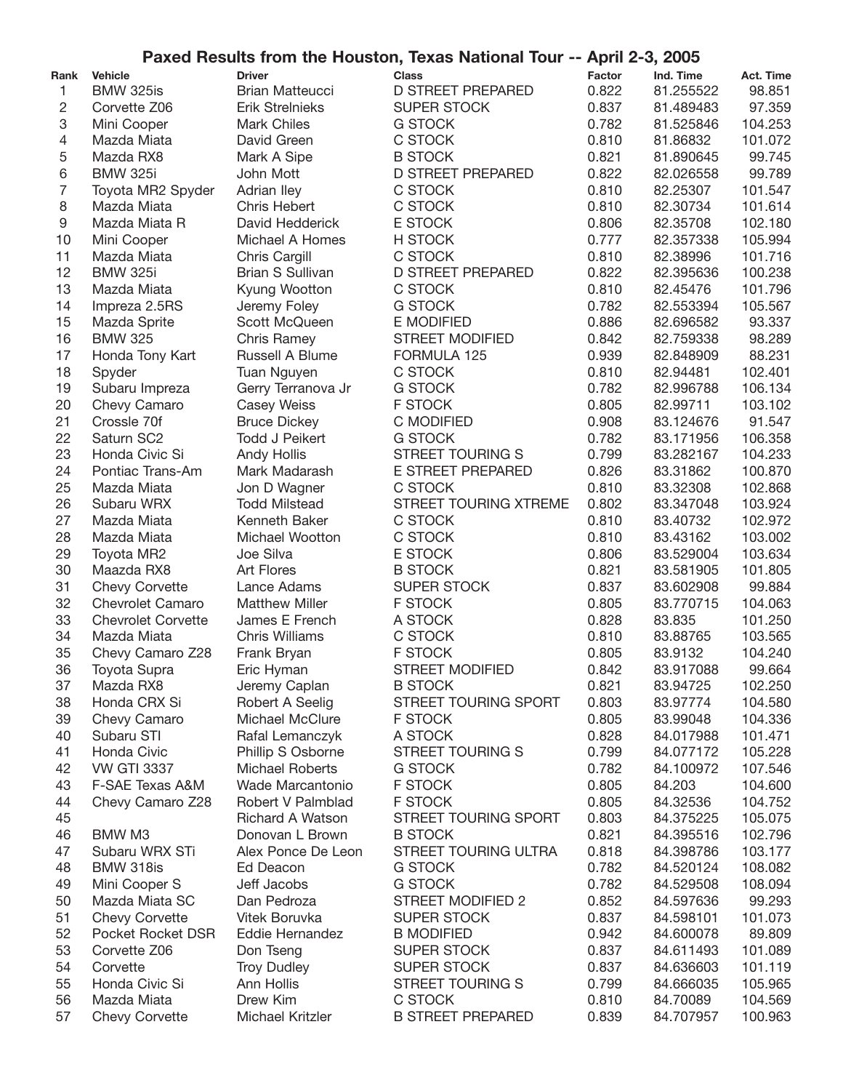|                |                           |                         | Paxed Results from the Houston, Texas National Tour -- April 2-3, 2005 |               |           |                  |
|----------------|---------------------------|-------------------------|------------------------------------------------------------------------|---------------|-----------|------------------|
| Rank           | <b>Vehicle</b>            | <b>Driver</b>           | <b>Class</b>                                                           | <b>Factor</b> | Ind. Time | <b>Act. Time</b> |
| 1              | <b>BMW 325is</b>          | <b>Brian Matteucci</b>  | <b>D STREET PREPARED</b>                                               | 0.822         | 81.255522 | 98.851           |
| 2              | Corvette Z06              | <b>Erik Strelnieks</b>  | <b>SUPER STOCK</b>                                                     | 0.837         | 81.489483 | 97.359           |
| 3              | Mini Cooper               | <b>Mark Chiles</b>      | <b>G STOCK</b>                                                         | 0.782         | 81.525846 | 104.253          |
| 4              | Mazda Miata               | David Green             | C STOCK                                                                | 0.810         | 81.86832  | 101.072          |
| 5              | Mazda RX8                 | Mark A Sipe             | <b>B STOCK</b>                                                         | 0.821         | 81.890645 | 99.745           |
| 6              | <b>BMW 325i</b>           | John Mott               | <b>D STREET PREPARED</b>                                               | 0.822         | 82.026558 | 99.789           |
| $\overline{7}$ | Toyota MR2 Spyder         | Adrian Iley             | C STOCK                                                                | 0.810         | 82.25307  | 101.547          |
| 8              | Mazda Miata               | <b>Chris Hebert</b>     | C STOCK                                                                | 0.810         | 82.30734  | 101.614          |
| 9              | Mazda Miata R             | David Hedderick         | E STOCK                                                                | 0.806         | 82.35708  | 102.180          |
| 10             | Mini Cooper               | Michael A Homes         | H STOCK                                                                | 0.777         | 82.357338 | 105.994          |
| 11             | Mazda Miata               | Chris Cargill           | C STOCK                                                                | 0.810         | 82.38996  | 101.716          |
| 12             | <b>BMW 325i</b>           | <b>Brian S Sullivan</b> | <b>D STREET PREPARED</b>                                               | 0.822         | 82.395636 | 100.238          |
| 13             | Mazda Miata               | Kyung Wootton           | C STOCK                                                                | 0.810         | 82.45476  | 101.796          |
| 14             | Impreza 2.5RS             | Jeremy Foley            | <b>G STOCK</b>                                                         | 0.782         | 82.553394 | 105.567          |
| 15             | Mazda Sprite              | Scott McQueen           | E MODIFIED                                                             | 0.886         | 82.696582 | 93.337           |
| 16             | <b>BMW 325</b>            | <b>Chris Ramey</b>      | <b>STREET MODIFIED</b>                                                 | 0.842         | 82.759338 | 98.289           |
| 17             | Honda Tony Kart           | Russell A Blume         | FORMULA 125                                                            | 0.939         | 82.848909 | 88.231           |
| 18             | Spyder                    | Tuan Nguyen             | C STOCK                                                                | 0.810         | 82.94481  | 102.401          |
| 19             | Subaru Impreza            | Gerry Terranova Jr      | <b>G STOCK</b>                                                         | 0.782         | 82.996788 | 106.134          |
| 20             | Chevy Camaro              | <b>Casey Weiss</b>      | <b>F STOCK</b>                                                         | 0.805         | 82.99711  | 103.102          |
| 21             | Crossle 70f               | <b>Bruce Dickey</b>     | C MODIFIED                                                             | 0.908         | 83.124676 | 91.547           |
| 22             | Saturn SC2                | <b>Todd J Peikert</b>   | <b>G STOCK</b>                                                         | 0.782         | 83.171956 | 106.358          |
| 23             | Honda Civic Si            | Andy Hollis             | <b>STREET TOURING S</b>                                                | 0.799         | 83.282167 | 104.233          |
| 24             | Pontiac Trans-Am          | Mark Madarash           | E STREET PREPARED                                                      | 0.826         | 83.31862  | 100.870          |
| 25             | Mazda Miata               | Jon D Wagner            | C STOCK                                                                | 0.810         | 83.32308  | 102.868          |
| 26             | Subaru WRX                | <b>Todd Milstead</b>    | STREET TOURING XTREME                                                  | 0.802         | 83.347048 | 103.924          |
| 27             | Mazda Miata               | Kenneth Baker           | C STOCK                                                                | 0.810         | 83.40732  | 102.972          |
| 28             | Mazda Miata               | Michael Wootton         | C STOCK                                                                | 0.810         | 83.43162  | 103.002          |
| 29             | Toyota MR2                | Joe Silva               | E STOCK                                                                | 0.806         | 83.529004 | 103.634          |
| 30             | Maazda RX8                | <b>Art Flores</b>       | <b>B STOCK</b>                                                         | 0.821         | 83.581905 | 101.805          |
| 31             | <b>Chevy Corvette</b>     | Lance Adams             | <b>SUPER STOCK</b>                                                     | 0.837         | 83.602908 | 99.884           |
| 32             | <b>Chevrolet Camaro</b>   | <b>Matthew Miller</b>   | F STOCK                                                                | 0.805         | 83.770715 | 104.063          |
| 33             | <b>Chevrolet Corvette</b> | James E French          | A STOCK                                                                | 0.828         | 83.835    | 101.250          |
| 34             | Mazda Miata               | <b>Chris Williams</b>   | C STOCK                                                                | 0.810         | 83.88765  | 103.565          |
| 35             | Chevy Camaro Z28          | Frank Bryan             | <b>F STOCK</b>                                                         | 0.805         | 83.9132   | 104.240          |
| 36             | Toyota Supra              | Eric Hyman              | <b>STREET MODIFIED</b>                                                 | 0.842         | 83.917088 | 99.664           |
| 37             | Mazda RX8                 | Jeremy Caplan           | <b>B STOCK</b>                                                         | 0.821         | 83.94725  | 102.250          |
| 38             | Honda CRX Si              | Robert A Seelig         | STREET TOURING SPORT                                                   | 0.803         | 83.97774  | 104.580          |
| 39             | Chevy Camaro              | Michael McClure         | <b>F STOCK</b>                                                         | 0.805         | 83.99048  | 104.336          |
| 40             | Subaru STI                | Rafal Lemanczyk         | A STOCK                                                                | 0.828         | 84.017988 | 101.471          |
| 41             | Honda Civic               | Phillip S Osborne       | STREET TOURING S                                                       | 0.799         | 84.077172 | 105.228          |
| 42             | <b>VW GTI 3337</b>        | <b>Michael Roberts</b>  | <b>G STOCK</b>                                                         | 0.782         | 84.100972 | 107.546          |
| 43             | F-SAE Texas A&M           | Wade Marcantonio        | F STOCK                                                                | 0.805         | 84.203    | 104.600          |
| 44             | Chevy Camaro Z28          | Robert V Palmblad       | F STOCK                                                                | 0.805         | 84.32536  | 104.752          |
| 45             |                           | <b>Richard A Watson</b> | STREET TOURING SPORT                                                   | 0.803         | 84.375225 | 105.075          |
| 46             | BMW M3                    | Donovan L Brown         | <b>B STOCK</b>                                                         | 0.821         | 84.395516 | 102.796          |
| 47             | Subaru WRX STi            | Alex Ponce De Leon      | STREET TOURING ULTRA                                                   | 0.818         | 84.398786 | 103.177          |
| 48             | BMW 318is                 | Ed Deacon               | <b>G STOCK</b>                                                         | 0.782         | 84.520124 | 108.082          |
| 49             | Mini Cooper S             | Jeff Jacobs             | <b>G STOCK</b>                                                         | 0.782         | 84.529508 | 108.094          |
| 50             | Mazda Miata SC            | Dan Pedroza             | <b>STREET MODIFIED 2</b>                                               | 0.852         | 84.597636 | 99.293           |
| 51             | <b>Chevy Corvette</b>     | Vitek Boruvka           | <b>SUPER STOCK</b>                                                     | 0.837         | 84.598101 | 101.073          |
| 52             | Pocket Rocket DSR         | Eddie Hernandez         | <b>B MODIFIED</b>                                                      | 0.942         | 84.600078 | 89.809           |
| 53             | Corvette Z06              | Don Tseng               | <b>SUPER STOCK</b>                                                     | 0.837         | 84.611493 | 101.089          |
| 54             | Corvette                  | <b>Troy Dudley</b>      | <b>SUPER STOCK</b>                                                     | 0.837         | 84.636603 | 101.119          |
| 55             | Honda Civic Si            | Ann Hollis              | <b>STREET TOURING S</b>                                                | 0.799         | 84.666035 | 105.965          |
| 56             | Mazda Miata               | Drew Kim                | C STOCK                                                                | 0.810         | 84.70089  | 104.569          |
| 57             | <b>Chevy Corvette</b>     | Michael Kritzler        | <b>B STREET PREPARED</b>                                               | 0.839         | 84.707957 | 100.963          |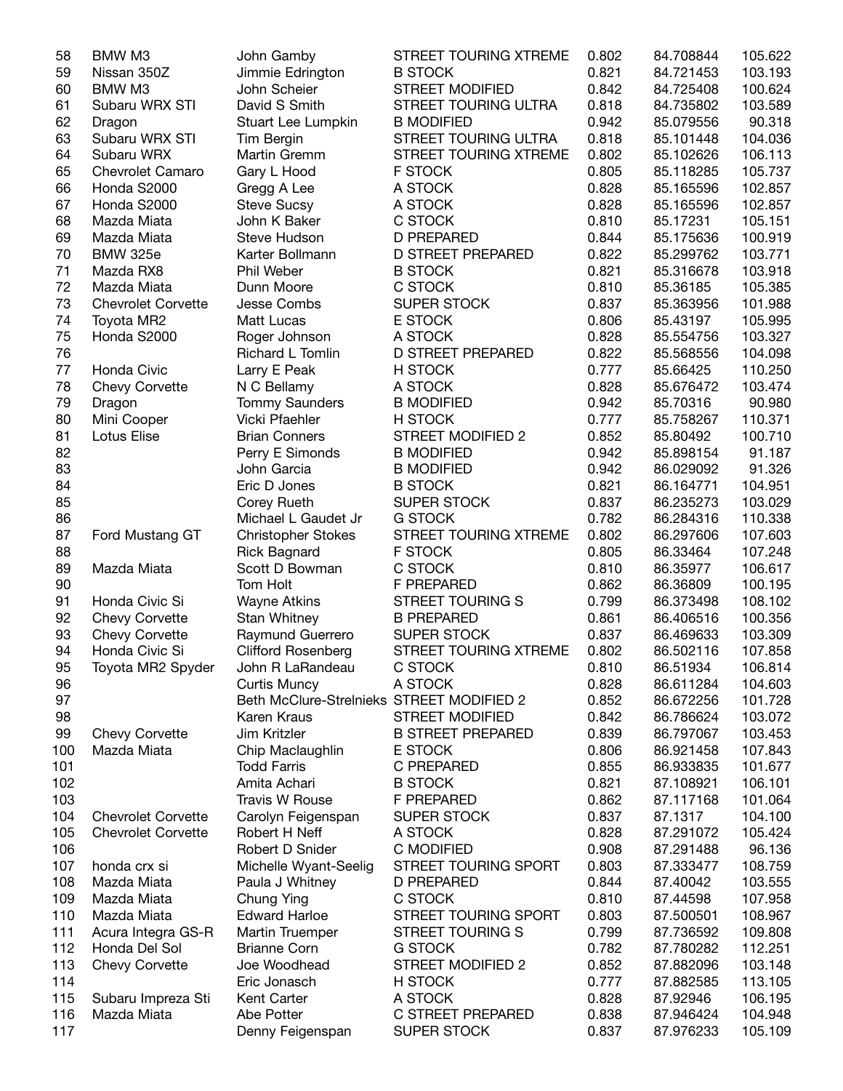| 58  | BMW M3                    | John Gamby                                | STREET TOURING XTREME    | 0.802 | 84.708844 | 105.622 |
|-----|---------------------------|-------------------------------------------|--------------------------|-------|-----------|---------|
| 59  | Nissan 350Z               | Jimmie Edrington                          | <b>B STOCK</b>           | 0.821 | 84.721453 | 103.193 |
| 60  | BMW M3                    | John Scheier                              | <b>STREET MODIFIED</b>   | 0.842 | 84.725408 | 100.624 |
| 61  | Subaru WRX STI            | David S Smith                             | STREET TOURING ULTRA     | 0.818 | 84.735802 | 103.589 |
| 62  | Dragon                    | Stuart Lee Lumpkin                        | <b>B MODIFIED</b>        | 0.942 | 85.079556 | 90.318  |
| 63  | Subaru WRX STI            | Tim Bergin                                | STREET TOURING ULTRA     | 0.818 | 85.101448 | 104.036 |
| 64  | Subaru WRX                | Martin Gremm                              | STREET TOURING XTREME    | 0.802 | 85.102626 | 106.113 |
| 65  | Chevrolet Camaro          | Gary L Hood                               | F STOCK                  | 0.805 | 85.118285 | 105.737 |
| 66  | Honda S2000               | Gregg A Lee                               | A STOCK                  | 0.828 | 85.165596 | 102.857 |
| 67  | Honda S2000               | <b>Steve Sucsy</b>                        | A STOCK                  | 0.828 | 85.165596 | 102.857 |
| 68  | Mazda Miata               | John K Baker                              | C STOCK                  | 0.810 | 85.17231  | 105.151 |
| 69  | Mazda Miata               | Steve Hudson                              | <b>D PREPARED</b>        | 0.844 | 85.175636 | 100.919 |
|     |                           |                                           |                          |       |           |         |
| 70  | <b>BMW 325e</b>           | Karter Bollmann                           | <b>D STREET PREPARED</b> | 0.822 | 85.299762 | 103.771 |
| 71  | Mazda RX8                 | Phil Weber                                | <b>B STOCK</b>           | 0.821 | 85.316678 | 103.918 |
| 72  | Mazda Miata               | Dunn Moore                                | C STOCK                  | 0.810 | 85.36185  | 105.385 |
| 73  | <b>Chevrolet Corvette</b> | Jesse Combs                               | <b>SUPER STOCK</b>       | 0.837 | 85.363956 | 101.988 |
| 74  | Toyota MR2                | Matt Lucas                                | E STOCK                  | 0.806 | 85.43197  | 105.995 |
| 75  | Honda S2000               | Roger Johnson                             | A STOCK                  | 0.828 | 85.554756 | 103.327 |
| 76  |                           | Richard L Tomlin                          | <b>D STREET PREPARED</b> | 0.822 | 85.568556 | 104.098 |
| 77  | Honda Civic               | Larry E Peak                              | H STOCK                  | 0.777 | 85.66425  | 110.250 |
| 78  | <b>Chevy Corvette</b>     | N C Bellamy                               | A STOCK                  | 0.828 | 85.676472 | 103.474 |
| 79  | Dragon                    | <b>Tommy Saunders</b>                     | <b>B MODIFIED</b>        | 0.942 | 85.70316  | 90.980  |
| 80  | Mini Cooper               | Vicki Pfaehler                            | H STOCK                  | 0.777 | 85.758267 | 110.371 |
| 81  | Lotus Elise               | <b>Brian Conners</b>                      | <b>STREET MODIFIED 2</b> | 0.852 | 85.80492  | 100.710 |
| 82  |                           | Perry E Simonds                           | <b>B MODIFIED</b>        | 0.942 | 85.898154 | 91.187  |
| 83  |                           | John Garcia                               | <b>B MODIFIED</b>        | 0.942 | 86.029092 | 91.326  |
| 84  |                           | Eric D Jones                              | <b>B STOCK</b>           | 0.821 | 86.164771 | 104.951 |
| 85  |                           | Corey Rueth                               | <b>SUPER STOCK</b>       | 0.837 | 86.235273 | 103.029 |
| 86  |                           | Michael L Gaudet Jr                       | <b>G STOCK</b>           | 0.782 | 86.284316 | 110.338 |
| 87  | Ford Mustang GT           | <b>Christopher Stokes</b>                 | STREET TOURING XTREME    | 0.802 | 86.297606 | 107.603 |
| 88  |                           | <b>Rick Bagnard</b>                       | <b>F STOCK</b>           | 0.805 | 86.33464  | 107.248 |
|     |                           |                                           |                          |       |           |         |
| 89  | Mazda Miata               | Scott D Bowman                            | C STOCK                  | 0.810 | 86.35977  | 106.617 |
| 90  |                           | Tom Holt                                  | F PREPARED               | 0.862 | 86.36809  | 100.195 |
| 91  | Honda Civic Si            | <b>Wayne Atkins</b>                       | <b>STREET TOURING S</b>  | 0.799 | 86.373498 | 108.102 |
| 92  | <b>Chevy Corvette</b>     | Stan Whitney                              | <b>B PREPARED</b>        | 0.861 | 86.406516 | 100.356 |
| 93  | <b>Chevy Corvette</b>     | Raymund Guerrero                          | <b>SUPER STOCK</b>       | 0.837 | 86.469633 | 103.309 |
| 94  | Honda Civic Si            | <b>Clifford Rosenberg</b>                 | STREET TOURING XTREME    | 0.802 | 86.502116 | 107.858 |
| 95  | Toyota MR2 Spyder         | John R LaRandeau                          | C STOCK                  | 0.810 | 86.51934  | 106.814 |
| 96  |                           | <b>Curtis Muncy</b>                       | A STOCK                  | 0.828 | 86.611284 | 104.603 |
| 97  |                           | Beth McClure-Strelnieks STREET MODIFIED 2 |                          | 0.852 | 86.672256 | 101.728 |
| 98  |                           | Karen Kraus                               | <b>STREET MODIFIED</b>   | 0.842 | 86.786624 | 103.072 |
| 99  | <b>Chevy Corvette</b>     | Jim Kritzler                              | <b>B STREET PREPARED</b> | 0.839 | 86.797067 | 103.453 |
| 100 | Mazda Miata               | Chip Maclaughlin                          | E STOCK                  | 0.806 | 86.921458 | 107.843 |
| 101 |                           | <b>Todd Farris</b>                        | C PREPARED               | 0.855 | 86.933835 | 101.677 |
| 102 |                           | Amita Achari                              | <b>B STOCK</b>           | 0.821 | 87.108921 | 106.101 |
| 103 |                           | <b>Travis W Rouse</b>                     | F PREPARED               | 0.862 | 87.117168 | 101.064 |
| 104 | <b>Chevrolet Corvette</b> | Carolyn Feigenspan                        | <b>SUPER STOCK</b>       | 0.837 | 87.1317   | 104.100 |
| 105 | <b>Chevrolet Corvette</b> | Robert H Neff                             | A STOCK                  | 0.828 | 87.291072 | 105.424 |
| 106 |                           | Robert D Snider                           | C MODIFIED               | 0.908 | 87.291488 | 96.136  |
| 107 | honda crx si              | Michelle Wyant-Seelig                     | STREET TOURING SPORT     | 0.803 | 87.333477 | 108.759 |
|     | Mazda Miata               |                                           |                          | 0.844 | 87.40042  |         |
| 108 |                           | Paula J Whitney                           | D PREPARED               |       |           | 103.555 |
| 109 | Mazda Miata               | Chung Ying                                | C STOCK                  | 0.810 | 87.44598  | 107.958 |
| 110 | Mazda Miata               | <b>Edward Harloe</b>                      | STREET TOURING SPORT     | 0.803 | 87.500501 | 108.967 |
| 111 | Acura Integra GS-R        | Martin Truemper                           | <b>STREET TOURING S</b>  | 0.799 | 87.736592 | 109.808 |
| 112 | Honda Del Sol             | <b>Brianne Corn</b>                       | <b>G STOCK</b>           | 0.782 | 87.780282 | 112.251 |
| 113 | <b>Chevy Corvette</b>     | Joe Woodhead                              | <b>STREET MODIFIED 2</b> | 0.852 | 87.882096 | 103.148 |
| 114 |                           | Eric Jonasch                              | H STOCK                  | 0.777 | 87.882585 | 113.105 |
| 115 | Subaru Impreza Sti        | Kent Carter                               | A STOCK                  | 0.828 | 87.92946  | 106.195 |
| 116 | Mazda Miata               | Abe Potter                                | C STREET PREPARED        | 0.838 | 87.946424 | 104.948 |
| 117 |                           | Denny Feigenspan                          | <b>SUPER STOCK</b>       | 0.837 | 87.976233 | 105.109 |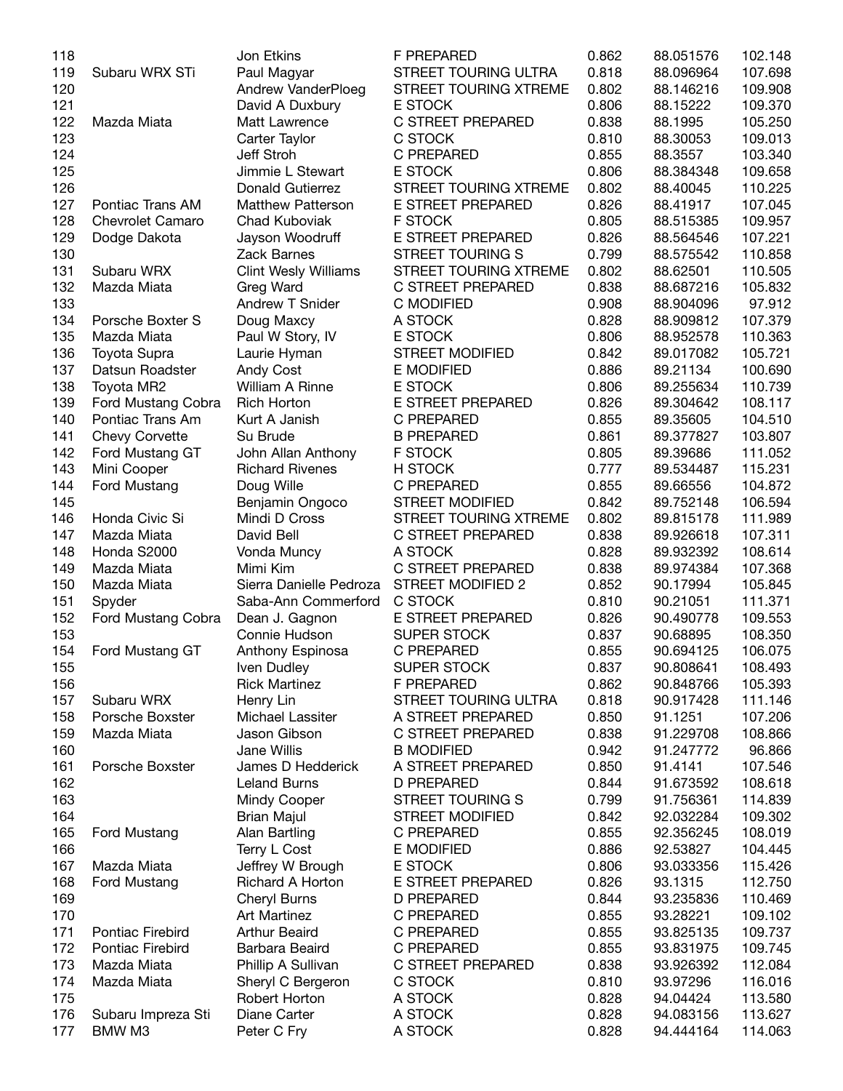| 118 |                         | Jon Etkins                  | F PREPARED               | 0.862 | 88.051576 | 102.148 |
|-----|-------------------------|-----------------------------|--------------------------|-------|-----------|---------|
| 119 | Subaru WRX STi          | Paul Magyar                 | STREET TOURING ULTRA     | 0.818 | 88.096964 | 107.698 |
| 120 |                         | Andrew VanderPloeg          | STREET TOURING XTREME    | 0.802 | 88.146216 | 109.908 |
| 121 |                         | David A Duxbury             | E STOCK                  | 0.806 | 88.15222  | 109.370 |
| 122 | Mazda Miata             | Matt Lawrence               | C STREET PREPARED        | 0.838 | 88.1995   | 105.250 |
| 123 |                         | Carter Taylor               | C STOCK                  | 0.810 | 88.30053  | 109.013 |
| 124 |                         | Jeff Stroh                  | C PREPARED               | 0.855 | 88.3557   | 103.340 |
| 125 |                         | Jimmie L Stewart            | E STOCK                  | 0.806 | 88.384348 | 109.658 |
| 126 |                         | Donald Gutierrez            | STREET TOURING XTREME    | 0.802 | 88.40045  | 110.225 |
| 127 | Pontiac Trans AM        | <b>Matthew Patterson</b>    | E STREET PREPARED        | 0.826 | 88.41917  | 107.045 |
| 128 | <b>Chevrolet Camaro</b> | Chad Kuboviak               | <b>F STOCK</b>           | 0.805 | 88.515385 | 109.957 |
|     |                         |                             |                          |       |           |         |
| 129 | Dodge Dakota            | Jayson Woodruff             | E STREET PREPARED        | 0.826 | 88.564546 | 107.221 |
| 130 |                         | Zack Barnes                 | <b>STREET TOURING S</b>  | 0.799 | 88.575542 | 110.858 |
| 131 | Subaru WRX              | <b>Clint Wesly Williams</b> | STREET TOURING XTREME    | 0.802 | 88.62501  | 110.505 |
| 132 | Mazda Miata             | Greg Ward                   | C STREET PREPARED        | 0.838 | 88.687216 | 105.832 |
| 133 |                         | Andrew T Snider             | C MODIFIED               | 0.908 | 88.904096 | 97.912  |
| 134 | Porsche Boxter S        | Doug Maxcy                  | A STOCK                  | 0.828 | 88.909812 | 107.379 |
| 135 | Mazda Miata             | Paul W Story, IV            | E STOCK                  | 0.806 | 88.952578 | 110.363 |
| 136 | <b>Toyota Supra</b>     | Laurie Hyman                | <b>STREET MODIFIED</b>   | 0.842 | 89.017082 | 105.721 |
| 137 | Datsun Roadster         | <b>Andy Cost</b>            | E MODIFIED               | 0.886 | 89.21134  | 100.690 |
| 138 | Toyota MR2              | William A Rinne             | E STOCK                  | 0.806 | 89.255634 | 110.739 |
| 139 | Ford Mustang Cobra      | <b>Rich Horton</b>          | E STREET PREPARED        | 0.826 | 89.304642 | 108.117 |
| 140 | Pontiac Trans Am        | Kurt A Janish               | C PREPARED               | 0.855 | 89.35605  | 104.510 |
| 141 | <b>Chevy Corvette</b>   | Su Brude                    | <b>B PREPARED</b>        | 0.861 | 89.377827 | 103.807 |
| 142 | Ford Mustang GT         | John Allan Anthony          | <b>F STOCK</b>           | 0.805 | 89.39686  | 111.052 |
| 143 | Mini Cooper             | <b>Richard Rivenes</b>      | H STOCK                  | 0.777 | 89.534487 | 115.231 |
| 144 | Ford Mustang            | Doug Wille                  | C PREPARED               | 0.855 | 89.66556  | 104.872 |
| 145 |                         | Benjamin Ongoco             | <b>STREET MODIFIED</b>   | 0.842 | 89.752148 | 106.594 |
| 146 | Honda Civic Si          | Mindi D Cross               | STREET TOURING XTREME    | 0.802 | 89.815178 | 111.989 |
| 147 | Mazda Miata             | David Bell                  | C STREET PREPARED        | 0.838 | 89.926618 | 107.311 |
|     |                         |                             |                          |       |           |         |
| 148 | Honda S2000             | Vonda Muncy                 | A STOCK                  | 0.828 | 89.932392 | 108.614 |
| 149 | Mazda Miata             | Mimi Kim                    | C STREET PREPARED        | 0.838 | 89.974384 | 107.368 |
| 150 | Mazda Miata             | Sierra Danielle Pedroza     | <b>STREET MODIFIED 2</b> | 0.852 | 90.17994  | 105.845 |
| 151 | Spyder                  | Saba-Ann Commerford         | C STOCK                  | 0.810 | 90.21051  | 111.371 |
| 152 | Ford Mustang Cobra      | Dean J. Gagnon              | E STREET PREPARED        | 0.826 | 90.490778 | 109.553 |
| 153 |                         | Connie Hudson               | <b>SUPER STOCK</b>       | 0.837 | 90.68895  | 108.350 |
| 154 | Ford Mustang GT         | Anthony Espinosa            | C PREPARED               | 0.855 | 90.694125 | 106.075 |
| 155 |                         | Iven Dudley                 | <b>SUPER STOCK</b>       | 0.837 | 90.808641 | 108.493 |
| 156 |                         | <b>Rick Martinez</b>        | F PREPARED               | 0.862 | 90.848766 | 105.393 |
| 157 | Subaru WRX              | Henry Lin                   | STREET TOURING ULTRA     | 0.818 | 90.917428 | 111.146 |
| 158 | Porsche Boxster         | Michael Lassiter            | A STREET PREPARED        | 0.850 | 91.1251   | 107.206 |
| 159 | Mazda Miata             | Jason Gibson                | C STREET PREPARED        | 0.838 | 91.229708 | 108.866 |
| 160 |                         | Jane Willis                 | <b>B MODIFIED</b>        | 0.942 | 91.247772 | 96.866  |
| 161 | Porsche Boxster         | James D Hedderick           | A STREET PREPARED        | 0.850 | 91.4141   | 107.546 |
| 162 |                         | <b>Leland Burns</b>         | <b>D PREPARED</b>        | 0.844 | 91.673592 | 108.618 |
| 163 |                         | Mindy Cooper                | <b>STREET TOURING S</b>  | 0.799 | 91.756361 | 114.839 |
| 164 |                         | <b>Brian Majul</b>          | <b>STREET MODIFIED</b>   | 0.842 | 92.032284 | 109.302 |
| 165 | Ford Mustang            | Alan Bartling               | C PREPARED               | 0.855 | 92.356245 | 108.019 |
| 166 |                         | Terry L Cost                | <b>E MODIFIED</b>        | 0.886 | 92.53827  | 104.445 |
|     |                         |                             |                          |       | 93.033356 |         |
| 167 | Mazda Miata             | Jeffrey W Brough            | E STOCK                  | 0.806 |           | 115.426 |
| 168 | Ford Mustang            | Richard A Horton            | E STREET PREPARED        | 0.826 | 93.1315   | 112.750 |
| 169 |                         | <b>Cheryl Burns</b>         | <b>D PREPARED</b>        | 0.844 | 93.235836 | 110.469 |
| 170 |                         | Art Martinez                | C PREPARED               | 0.855 | 93.28221  | 109.102 |
| 171 | Pontiac Firebird        | <b>Arthur Beaird</b>        | C PREPARED               | 0.855 | 93.825135 | 109.737 |
| 172 | Pontiac Firebird        | Barbara Beaird              | C PREPARED               | 0.855 | 93.831975 | 109.745 |
| 173 | Mazda Miata             | Phillip A Sullivan          | C STREET PREPARED        | 0.838 | 93.926392 | 112.084 |
| 174 | Mazda Miata             | Sheryl C Bergeron           | C STOCK                  | 0.810 | 93.97296  | 116.016 |
| 175 |                         | Robert Horton               | A STOCK                  | 0.828 | 94.04424  | 113.580 |
| 176 | Subaru Impreza Sti      | Diane Carter                | A STOCK                  | 0.828 | 94.083156 | 113.627 |
| 177 | BMW M3                  | Peter C Fry                 | A STOCK                  | 0.828 | 94.444164 | 114.063 |